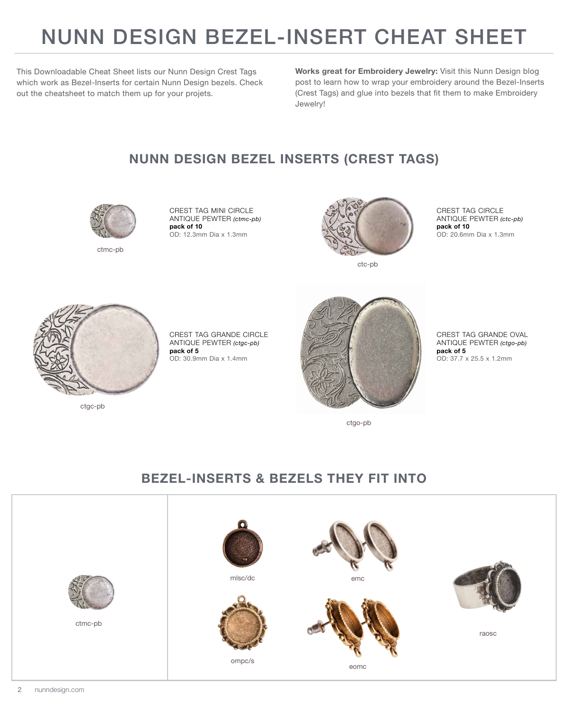## NUNN DESIGN BEZEL-INSERT CHEAT SHEET

This Downloadable Cheat Sheet lists our Nunn Design Crest Tags which work as Bezel-Inserts for certain Nunn Design bezels. Check out the cheatsheet to match them up for your projets.

**[Works great for Embroidery Jewelry](https://www.nunndesign.com/tutorial-embroidery-jewelry-video-buy-kits/)[:](https://www.nunndesign.com/gluing-crystals-metal/)** Visit this Nunn Design blog post to learn how to wrap your embroidery around the Bezel-Inserts (Crest Tags) and glue into bezels that fit them to make Embroidery Jewelry!

## **NUNN DESIGN BEZEL INSERTS (CREST TAGS)**



ctmc-pb

CREST TAG MINI CIRCLE ANTIQUE PEWTER *(ctmc-pb)* **pack of 10** OD: 12.3mm Dia x 1.3mm



ctc-pb

CREST TAG CIRCLE ANTIQUE PEWTER *(ctc-pb)* **pack of 10** OD: 20.6mm Dia x 1.3mm



ctgc-pb

CREST TAG GRANDE CIRCLE ANTIQUE PEWTER *(ctgc-pb)* **pack of 5** OD: 30.9mm Dia x 1.4mm



CREST TAG GRANDE OVAL ANTIQUE PEWTER *(ctgo-pb)* **pack of 5** OD: 37.7 x 25.5 x 1.2mm

ctgo-pb

## **BEZEL-INSERTS & BEZELS THEY FIT INTO**